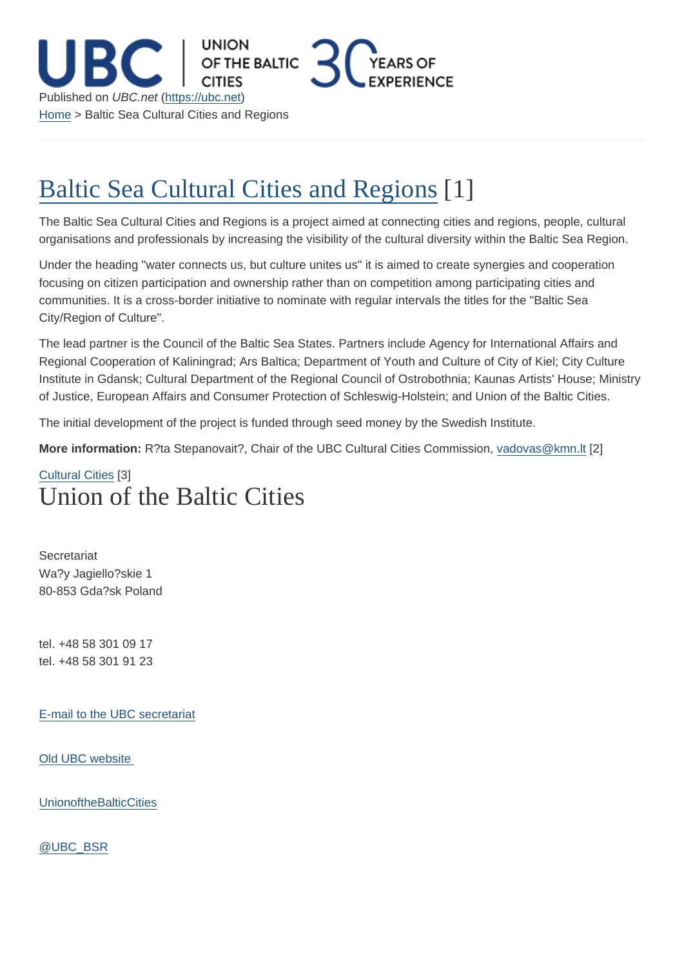## Baltic Sea Cultural Cities and Regions

The Baltic Sea Cultural Cities and Regions is a project aimed at connecting cities and regions, people, cultural [organisations and professionals by increasing the visibility of the cultural div](https://ubc.net/content/baltic-sea-cultural-cities-and-regions)ersity within the Baltic Sea Region.

Under the heading "water connects us, but culture unites us" it is aimed to create synergies and cooperation focusing on citizen participation and ownership rather than on competition among participating cities and communities. It is a cross-border initiative to nominate with regular intervals the titles for the "Baltic Sea City/Region of Culture".

The lead partner is the Council of the Baltic Sea States. Partners include Agency for International Affairs and Regional Cooperation of Kaliningrad; Ars Baltica; Department of Youth and Culture of City of Kiel; City Culture Institute in Gdansk; Cultural Department of the Regional Council of Ostrobothnia; Kaunas Artists' House; Ministry of Justice, European Affairs and Consumer Protection of Schleswig-Holstein; and Union of the Baltic Cities.

The initial development of the project is funded through seed money by the Swedish Institute.

More information: R?ta Stepanovait?, Chair of the UBC Cultural Cities Commission, vadovas@kmn.lt [2]

## Cultural Cities [3] Union of the Baltic Cities

**Secretariat** Wa?y Jagiello?skie 1 80-853 Gda?sk Poland

tel. +48 58 301 09 17 tel. +48 58 301 91 23

E-mail to the UBC secretariat

[Old UBC website](mailto:info@ubc.net) 

**[UnionoftheBalticC](http://archive.ubc.net)ities** 

[@UBC\\_BSR](https://www.facebook.com/UnionoftheBalticCities)